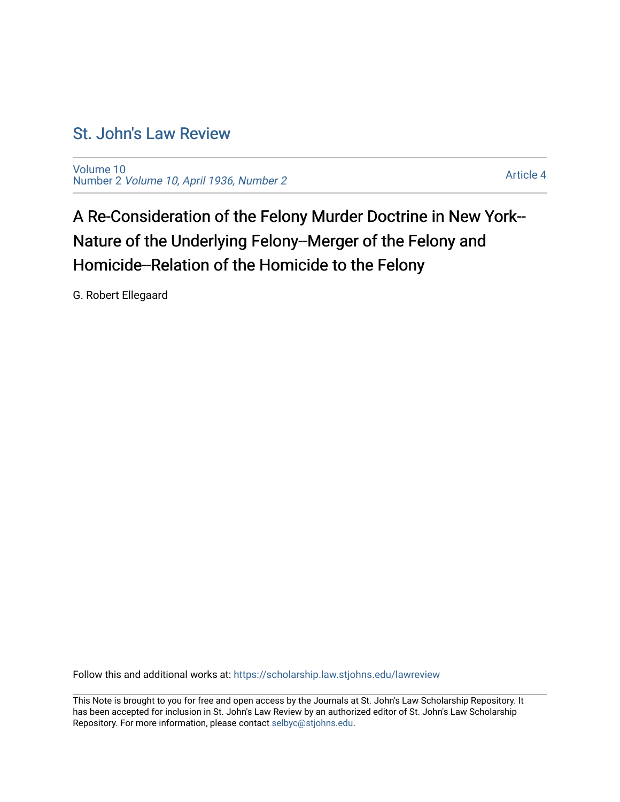# [St. John's Law Review](https://scholarship.law.stjohns.edu/lawreview)

[Volume 10](https://scholarship.law.stjohns.edu/lawreview/vol10) Number 2 [Volume 10, April 1936, Number 2](https://scholarship.law.stjohns.edu/lawreview/vol10/iss2) 

[Article 4](https://scholarship.law.stjohns.edu/lawreview/vol10/iss2/4) 

A Re-Consideration of the Felony Murder Doctrine in New York-- Nature of the Underlying Felony--Merger of the Felony and Homicide--Relation of the Homicide to the Felony

G. Robert Ellegaard

Follow this and additional works at: [https://scholarship.law.stjohns.edu/lawreview](https://scholarship.law.stjohns.edu/lawreview?utm_source=scholarship.law.stjohns.edu%2Flawreview%2Fvol10%2Fiss2%2F4&utm_medium=PDF&utm_campaign=PDFCoverPages) 

This Note is brought to you for free and open access by the Journals at St. John's Law Scholarship Repository. It has been accepted for inclusion in St. John's Law Review by an authorized editor of St. John's Law Scholarship Repository. For more information, please contact [selbyc@stjohns.edu.](mailto:selbyc@stjohns.edu)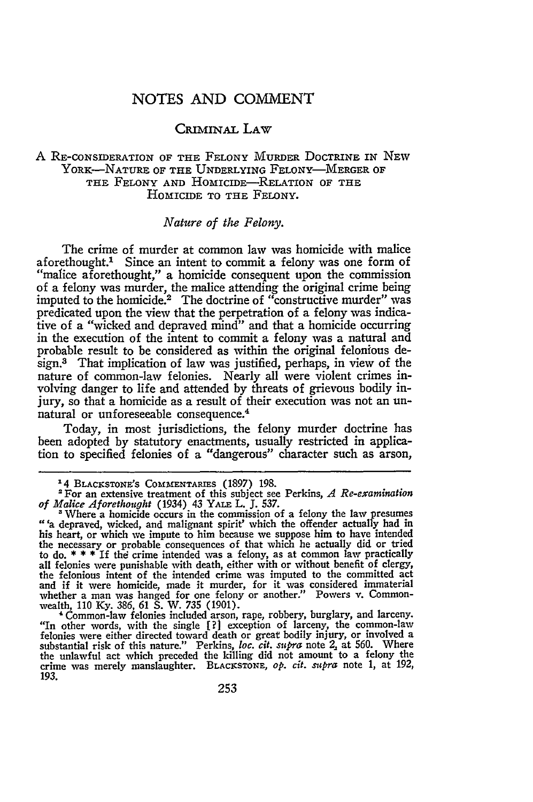# NOTES AND COMMENT

# CRIMINAL LAW

#### A RE-CONSIDERATION OF THE FELONY MuRDER DOCTRINE IN NEW YORK-NATURE OF THE UNDERLYING FELONY-MERGER OF THE FELONY **AND** HOMICIDE-RELATION OF THE HOMICIDE TO THE FELONY.

## *Nature of the Felony.*

The crime of murder at common law was homicide with malice aforethought.<sup>1</sup> Since an intent to commit a felony was one form of "malice aforethought," a homicide consequent upon the commission of a felony was murder, the malice attending the original crime being imputed to the homicide.<sup>2</sup> The doctrine of "constructive murder" was predicated upon the view that the perpetration of a felony was indicative of a "wicked and depraved mind" and that a homicide occurring in the execution of the intent to commit a felony was a natural and probable result to be considered as within the original felonious design.3 That implication of law was justified, perhaps, in view of the nature of common-law felonies. Nearly all were violent crimes involving danger to life and attended by threats of grievous bodily injury, so that a homicide as a result of their execution was not an un-4 natural or unforeseeable consequence.

Today, in most jurisdictions, the felony murder doctrine has been adopted by statutory enactments, usually restricted in application to specified felonies of a "dangerous" character such as arson,

"In other words, with the single  $[?]$  exception of larceny, the common-law felonies were either directed toward death or great bodily injury, or involved a substantial risk of this nature." Perkins, *loc. cit. supra* not crime was merely manslaughter. BLACKSTONE, op. cit. supra note 1, at 192, **193.**

**<sup>14</sup>** BLxcKsToNE's **COMMENTARIES** (1897) 198.

<sup>&#</sup>x27;For an extensive treatment of this subject see Perkins, *A Re-examination of Malice Aforethought* (1934) 43 YALE L. **J. 537.**

<sup>&#</sup>x27; Where a homicide occurs in the commission of a felony the law presumes "a depraved, wicked, and malignant spirit' which the offender actually had in his heart, or which we impute to him because we suppose him to have intended the necessary or probable consequences of that which he actually did or tried<br>to do.  $* * *$  If the crime intended was a felony, as at common law practically<br>all felonies were punishable with death, either with or without b and if it were homicide, made it murder, for it was considered immaterial whether a man was hanged for one felony or another." Powers v. Commonwealth, **110 Ky. 386,** 61 **S.** W. **735 (1901).** ' Common-law felonies included arson, rape, robbery, burglary, and larceny.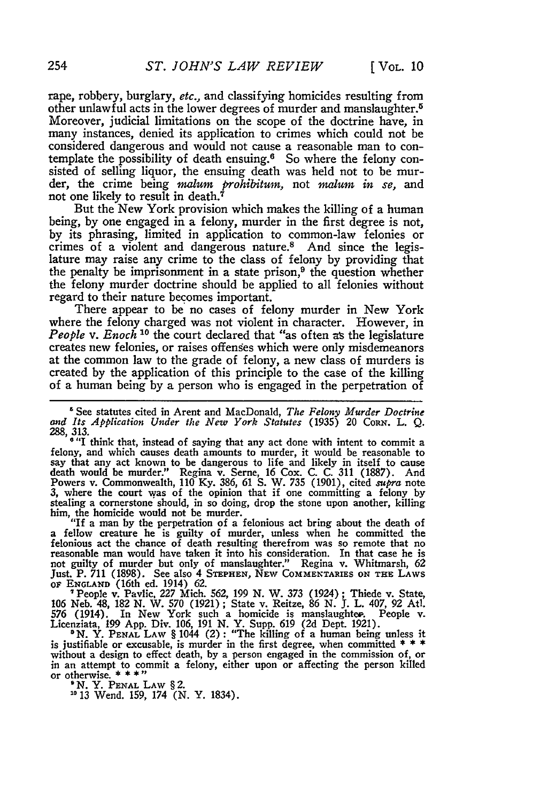rape, robbery, burglary, etc., and classifying homicides resulting from other unlawful acts in the lower degrees of murder and manslaughter. <sup>5</sup> Moreover, judicial limitations on the scope of the doctrine have, in many instances, denied its application to crimes which could not be considered dangerous and would not cause a reasonable man to contemplate the possibility of death ensuing.<sup>6</sup> So where the felony consisted of selling liquor, the ensuing death was held not to be murder, the crime being *malum prohibitum*, not *malum in se*, and not one likely to result in death.<sup>7</sup>

But the New York provision which makes the killing of a human being, by one engaged in a felony, murder in the first degree is not, **by** its phrasing, limited in application to common-law felonies or crimes of a violent and dangerous nature.8 And since the legislature may raise any crime to the class of felony **by** providing that the penalty be imprisonment in a state prison, $9$  the question whether the felony murder doctrine should be applied to all felonies without regard to their nature becomes important.

There appear to be no cases of felony murder in New York where the felony charged was not violent in character. However, in *People v. Enoch 10* the court declared that "as often as the legislature creates new felonies, or raises offenses which were only misdemeanors at the common law to the grade of felony, a new class of murders is created **by** the application of this principle to the case of the killing of a human being by a person who is engaged in the perpetration of

**"** See statutes cited in Arent and MacDonald, *The Felony Murder Doctrine and Its Application Under the New York Statutes* (1935) 20 **CoRN.** L. **Q.** 288, 313.<br><sup>6</sup> "I think that, instead of saying that any act done with intent to commit a

felony, and which causes death amounts to murder, it would be reasonable to say that any act known to be dangerous to life and likely in itself to cause death would be murder." Regina v. Serne, 16 Cox. C. C. 311 (1887). And Powers v. Commonwealth, 110 Ky. 386, 61 S. W. 735 (1901), cited *supra* note **3,** where the court was of the opinion that if one committing a felony by stealing a cornerstone should, in so doing, drop the stone upon another, killing him, the homicide would not be murder.<br>"If a man by the perpetration of a felonious act bring about the death of

a fellow creature he is guilty of murder, unless when he committed the felonious act the chance of death resulting therefrom was so remote that no reasonable man would have taken it into his consideration. In that case he is not guilty of murder but only of manslaughter." Regina v. Whitmarsh, **62 Just.** P. **711** (1898). See also 4 **STEPHEN,** NEW **COMMENTARIES ON THE** LAWS **OF ENGLAND** (16th ed. 1914) 62. 'People v. Pavlic, *227* Mich. **562,** 199 N. W. **373** (1924) **;** Thiede v. State,

106 Neb. 48, **182** N. W. **570** (1921) ; State v. Reitze, 86 *N.* J. L. 407, **92** Atl. 576 (1914). In New York such a homicide is manslaughter. People v. Licenziata, **199 App.** Div. 106, 191 N. Y. Supp. 619 (2d Dept. 1921).

<sup>9</sup> N. Y. PENAL LAW § 1044 (2): "The killing of a human being unless it is justifiable or excusable, is murder in the first degree, when committed **\*** \* **\*** in an attempt to commit a felony, either upon or affecting the person killed or otherwise.  $***$ 

or otherwise. **\* \* \*"** *IN.* Y. **PENAL** LAW § 2. <sup>20</sup>**13** Wend. 159, 174 (N. Y. 1834).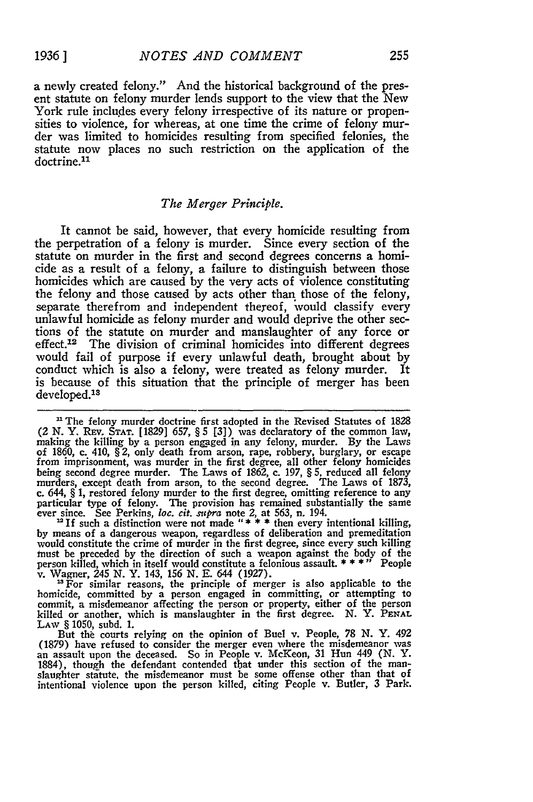a newly created felony." And the historical background of the present statute on felony murder lends support to the view that the New York rule includes every felony irrespective of its nature or propensities to violence, for whereas, at one time the crime of felony murder was limited to homicides resulting from specified felonies, the statute now places no such restriction on the application of the doctrine.<sup>11</sup>

#### *The Merger Principle.*

It cannot be said, however, that every homicide resulting from the perpetration of a felony is murder. Since every section of the statute on murder in the first and second degrees concerns a homicide as a result of a felony, a failure to distinguish between those homicides which are caused by the very acts of violence constituting the felony and those caused **by** acts other than those of the felony, separate therefrom and independent thereof, would classify every unlawful homicide as felony murder and would deprive the other sections of the statute on murder and manslaughter of any force or effect.<sup>12</sup> The division of criminal homicides into different degrees would fail of purpose if every unlawful death, brought about **by** conduct which is also a felony, were treated as felony murder. It is because of this situation that the principle of merger has been developed.<sup>13</sup>

<sup>11</sup> The felony murder doctrine first adopted in the Revised Statutes of 1828 (2 **N.** Y. Rrv. **STAT.** [1829] 657, § 5 [3]) was declaratory of the common law, making the killing **by** a person engaged in any felony, murder. **By** the Laws of **1860,** c. 410, § 2, only death from arson, rape, robbery, burglary, or escape from imprisonment, was murder in the first degree, all other felony homicides being second degree murder. The Laws of **1862, c. 197,** § **5,** reduced all felony murders, except death from arson, to the second degree. The Laws of **1873,** c. 644,  $\S$  1, restored felony murder to the first degree, omitting reference to any particular type of felony. The provision has remained substantially the same ever since. See Perkins, loc. cit.  $supra$  note 2, at 563, n.

<sup>12</sup> If such a distinction were not made  $"$  **\***  $*$   $*$  then every intentional killing, **by** means of a dangerous weapon, regardless of deliberation and premeditation would constitute the crime of murder in the first degree, since every such killing must be preceded **by** the direction of such a weapon against the body of the person killed, which in itself would constitute a felonious assault. **\*\*\*"** People

v. Wagner, 245 *N.* Y. 143, **156 N.** E. 644 **(1927).** "For similar reasons, the principle of merger is also applicable to the homicide, committed **by** a person engaged in committing, or attempting to commit, a misdemeanor affecting the person or property, either of the person killed or another, which is manslaughter in the first degree. N. Y. PENAL LAW § 1050, subd. **1.**

But thi courts relying on the opinion of Buel v. People, **78 N.** Y. 492 **(1879)** have refused to consider the merger even where the misdemeanor was an assault upon the deceased. So in People v. McKeon, **31** Hun 449 **(N. Y.** 1884), though the defendant contended that under this section of the manslaughter statute, the misdemeanor must be some offense other than that of intentional violence upon the person killed, citing People v. Butler, **3** Park.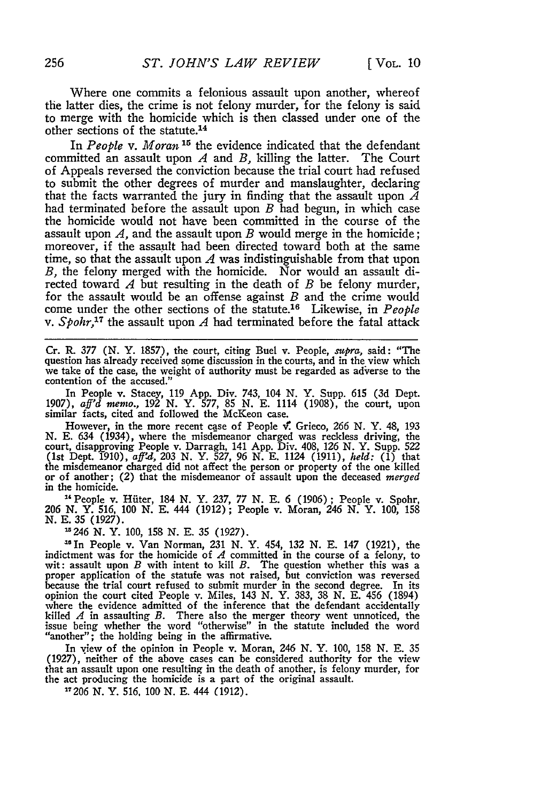Where one commits a felonious assault upon another, whereof the latter dies, the crime is not felony murder, for the felony is said to merge with the homicide which is then classed under one of the other sections of the statute.<sup>14</sup>

In *People v. Moran*<sup>15</sup> the evidence indicated that the defendant committed an assault upon *A* and *B,* killing the latter. The Court of Appeals reversed the conviction because the trial court had refused to submit the other degrees of murder and manslaughter, declaring that the facts warranted the jury in finding that the assault upon *A* had terminated before the assault upon *B* had begun, in which case the homicide would not have been committed in the course of the assault upon *A,* and the assault upon *B* would merge in the homicide; moreover, if the assault had been directed toward both at the same time, so that the assault upon *A* was indistinguishable from that upon *B,* the felony merged with the homicide. Nor would an assault directed toward *A* but resulting in the death of *B* be felony murder, for the assault would be an offense against *B* and the crime would come under the other sections of the statute.'8 Likewise, in *People* v. *Spohr,17* the assault upon *A* had terminated before the fatal attack

Cr. *R.* **377 (N.** Y. **1857),** the court, citing Buel v. People, *supra,* said: "The question has already received some discussion in the courts, and in the view which we take of the case, the weight of authority must be regarded as adverse to the contention of the accused."

In People v. Stacey, **119 App.** Div. 743, 104 **N.** Y. Supp. **615 (3d** Dept. **1907),** *aff'd memo.,* **192 N.** Y. **577, 85 N. E.** 1114 **(1908),** the court, upon similar facts, cited and followed the McKeon case.

However, in the more recent case of People  $\vec{v}$ . Grieco, 266 N. Y. 48, 193 **N. E.** 634 (1934), where the misdemeanor charged was reckless driving, the court, disapproving People v. Darragh, 141 App. Div. 408, 126 N. Y. Supp. 522 (1st Dept. 1910),  $aff'd$ , 203 N. Y. 527, 96 N. E. 1124 (1911),  $held$ : (1) that the misdemeanor charged did not affect the person or property of the one killed or of another; (2) that the misdemeanor of assault upon the deceased *merged* in the homicide.

"People v. Hfiter, 184 **N.** Y. **237, 77 N. E. 6 (1906);** People v. Spohr, *<sup>206</sup>***N.** Y. **516, 100 N. E.** 444 **(1912);** People v. Moran, 246 **N.** Y. **100, 158 N. E. 35 (1927).**

-246 **N.** Y. **100, 158 N. E. 35 (1927).**

**" In** People v. Van Norman, **231 N.** Y. 454, **132 N. E.** 147 **(1921),** the indictment was for the homicide of *A* committed in the course of a felony, to wit: assault upon *B* with intent to kill *B*. The question whether this was a proper application of the statufe was not raised, but conviction was reversed because the trial court refused to submit murder in the second degree. In its opinion the court cited People v. Miles, 143 **N.** Y. **383, 38 N. E.** 456 (1894) where the evidence admitted of the inference that the defendant accidentally killed *A* in assaulting *B.* There also the merger theory went unnoticed, the killed  $A$  in assaulting  $B$ . There also the merger theory went unnoticed, the issue being whether the word "otherwise" in the statute included the word "another"; the holding being in the affirmative.

In **view** of the opinion in People v. Moran, 246 **N.** Y. **100, 158 N. E. 35 (1927),** neither of the above cases can be considered authority for the view that an assault upon one resulting in the death of another, is felony murder, for the act producing the homicide is a part of the original assault.

**27206 N.** Y. **516. 100 N. E.** 444 **(1912).**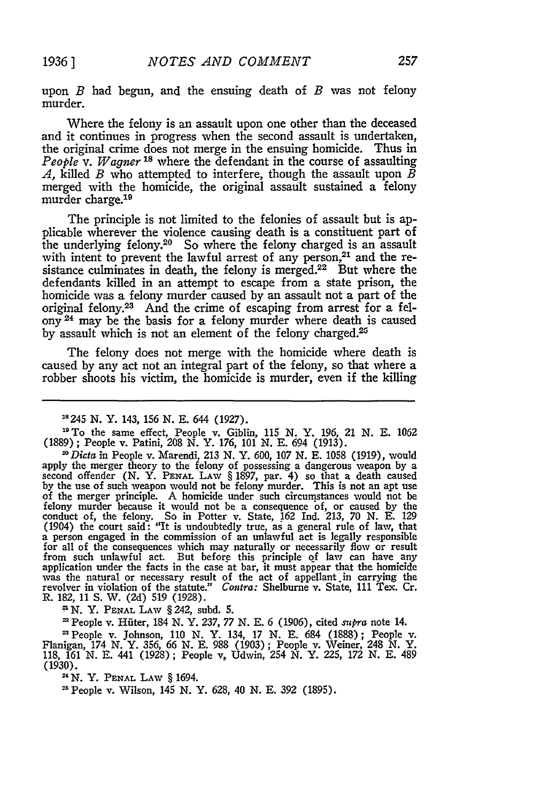upon *B* had begun, and the ensuing death of *B* was not felony murder.

Where the felony is an assault upon one other than the deceased and it continues in progress when the second assault is undertaken, the original crime does not merge in the ensuing homicide. Thus in *People v. Wagner's* where the defendant in the course of assaulting *A,* killed *B* who attempted to interfere, though the assault upon *B* merged with the homicide, the original assault sustained a felony murder charge.<sup>19</sup>

The principle is not limited to the felonies of assault but is applicable wherever the violence causing death is a constituent part of the underlying felony.20 So where the felony charged is an assault with intent to prevent the lawful arrest of any person, $21$  and the resistance culminates in death, the felony is merged.<sup>22</sup> But where the defendants killed in an attempt to escape from a state prison, the homicide was a felony murder caused by an assault not a part of the original felony.23 And the crime of escaping from arrest for a felony 24 may he the basis for a felony murder where death is caused by assault which is not an element of the felony charged.<sup>25</sup>

The felony does not merge with the homicide where death is caused by any act not an integral part of the felony, so that where a robber shoots his victim, the homicide is murder, even if the killing

*;* N. Y. **PENAL** LAW § 242, subd. 5.

**1** People v. Hfiter, 184 N. Y. 237, 77 N. E. 6 (1906), cited *supra* note 14.

'People v. Johnson, 110 N. Y. 134, 17 N. E. 684 (1888); People v. Flanigan, 174 N. Y. 356, 66 N. E. 988 (1903); People v. Weiner, 248 N. Y. 118, 161 N. E. 441 (1928); People v, Udwin, 254 *N.* Y. 225, 172 N. E. 489 (1930).

**N.** Y. **PENAL** LAW § 1694.

People v. Wilson, 145 N. Y. 628, 40 N. E. 392 (1895).

**<sup>&</sup>quot;** 245 *N.* Y. 143, **156 N. E.** 644 (1927). **"** To the same effect, People v. Giblin, 115 N. *Y.* 196, 21 N. E. 1062 (1889); People v. Patini, 208 N. Y. 176, 101 N. E. 694 (1913).

<sup>&</sup>lt;sup>26</sup> *Dicta* in People v. Marendi, 213 N. Y. 600, 107 N. E. 1058 (1919), would apply the merger theory to the felony of possessing a dangerous weapon by a second offender (N. Y. PENAL LAW § 1897, par. 4) so that a death caused<br>by the use of such weapon would not be felony murder. This is not an apt use<br>of the merger principle. A homicide under such circumstances would not be conduct of, the felony. So in Potter v. State, 162 Ind. 213, 70 N. E. 129<br>(1904) the court said: "It is undoubtedly true, as a general rule of law, that<br>a person engaged in the commission of an unlawful act is legally resp for all of the consequences which may naturally or necessarily flow or result from such unlawful act. But before this principle of law can have any application under the facts in the case at bar, it must appear that the ho revolver in violation of the statute." *Contra:* Shelburne v. State, 111 Tex. Cr. R. 182, 11 **S.** W. (2d) 519 (1928).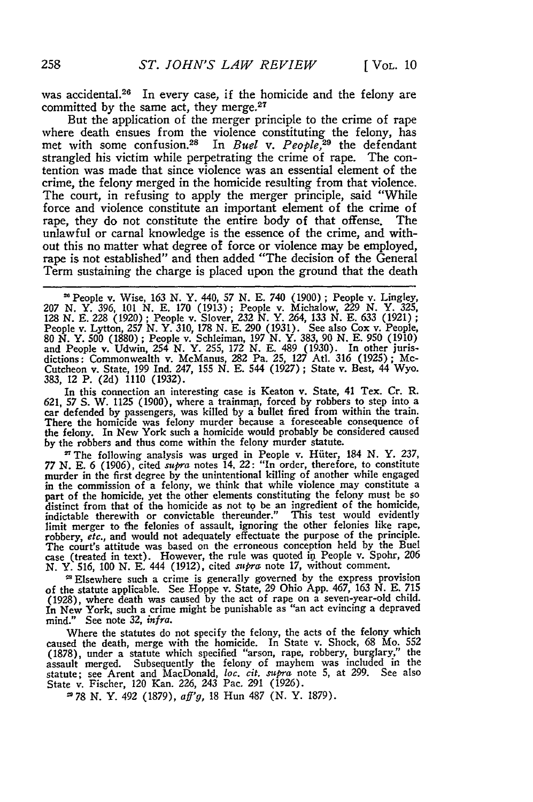was accidental.<sup>26</sup> In every case, if the homicide and the felony are committed by the same act, they merge.<sup>27</sup>

But the application of the merger principle to the crime of rape where death ensues from the violence constituting the felony, has met with some confusion.<sup>28</sup> In *Buel v. People*,<sup>29</sup> the defendant strangled his victim while perpetrating the crime of rape. The contention was made that since violence was an essential element of the crime, the felony merged in the homicide resulting from that violence. The court, in refusing to apply the merger principle, said "While force and violence constitute an important element of the crime of rape, they do not constitute the entire body of that offense. The unlawful or carnal knowledge is the essence of the crime, and without this no matter what degree of force or violence may be employed, rape is not established" and then added "The decision of the General Term sustaining the charge is placed upon the ground that the death

**'** People v. Wise, *163* **N.** Y. 440, 57 **N. E.** 740 (1900) ; People v. Lingley, 207 **N.** Y. 396, *101* **N. E.** 170 (1913); People v. Michalow, 229 **N.** Y. 325, **128 N. E. 228** (1920) **;** People v. Slover, **232 N.** Y. 264, 133 **N. E.** 633 (1921) **;** People v. Lytton, 257 N. Y. 310, 178 N. E. 290 (1931). See also Cox v. People,<br>80 N. Y. 500 (1880); People v. Schleiman, 197 N. Y. 383, 90 N. E. 950 (1910)<br>and People v. Udwin, 254 N. Y. 255, 172 N. E. 489 (1930). In other dictions: Commonwealth v. McManus, **282** Pa. **25,** 127 Atl. 316 (1925); Mc-Cutcheon v. State, 199 Ind. 247, 155 **N. E.** 544 (1927) ; State v. Best, 44 Wyo. **383,** 12 P. (2d) 1110 **(1932).**

In this connection an interesting case is Keaton v. State, 41 Tex. Cr. R. 621, 57 **S.** W. 1125 (1900), where a trainman, forced **by** robbers to step into a car defended **by** passengers, was killed by a bullet fired from within the train. There the homicide was felony murder because a foreseeable consequence of the felony. In New York such a homicide would probably be considered caused by the robbers and thus come within the felony murder statute.

**'** The following analysis was urged in People v. Hiiter, 184 **N.** Y. 237, *77* **N. E.** 6 (1906), cited *supra* notes 14. 22: "In order, therefore, to constitute murder in the first degree **by** the unintentional killing of another while engaged in the commission of a felony, we think that while violence may constitute a part of the homicide, yet the other elements constituting the felony must be so distinct from that of the homicide as not to be an ingredient of the homicide, indictable therewith or convictable thereunder." This test would evidently limit merger to the felonies of assault, ignoring the other felonies like rape, robbery, *etc.,* and would not adequately effectuate the purpose of the principle. The court's attitude was based on the erroneous conception held **by** the Buel case (treated in text). However, the rule was quoted in People v. Spohr, 206 **N.** Y. 516, 100 **N.** E. 444 (1912), cited *supra* note **17,** without comment.

**"'** Elsewhere such a crime is generally governed **by** the express provision of the statute applicable. See Hoppe v. State, 29 Ohio App. 467, 163 N. **E.** <sup>715</sup> (1928), where death was caused **by** the act of rape on a seven-year-old child. In New York, such a crime might be punishable as "an act evincing a depraved mind." See note 32, *infra.*

Where the statutes do not specify the felony, the acts of the felony which caused the death, merge with the homicide. In State v. Shock, **68** Mo. **552** (1878), under a statute which specified "arson, rape, robbery, burglary," assault merged. Subsequently the felony of mayhem was included in the statute; see Arent and MacDonald, loc. *cit. supra* note 5, at 299. See also State v. Fischer, 120 Kan. 226, 243 Pac. 291 (1926).

*278* **N.** Y. 492 (1879), *aff'g,* 18 Hun 487 (N. Y. 1879).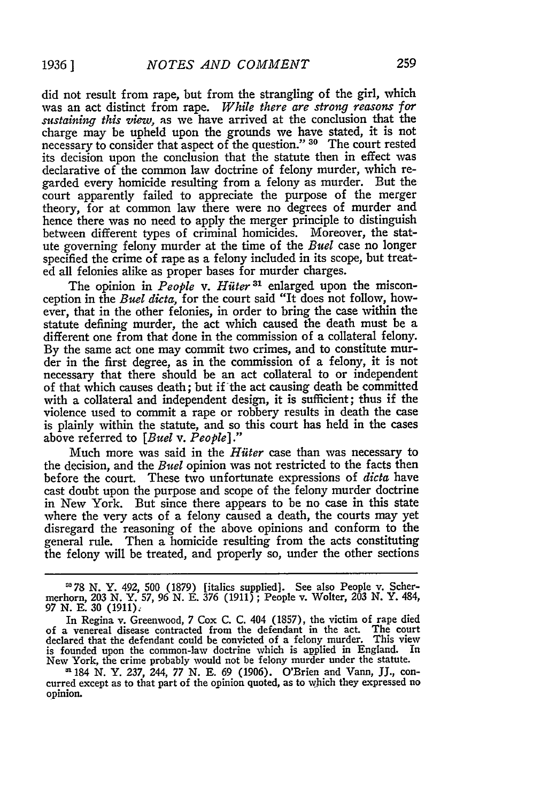did not result from rape, but from the strangling of the girl, which was an act distinct from rape. *While there are strong reasons for sustaining this view,* as we have arrived at the conclusion that the charge may be upheld upon the grounds we have stated, it is not necessary to consider that aspect of the question." **30** The court rested its decision upon the conclusion that the statute then in effect was declarative of the common law doctrine of felony murder, which regarded every homicide resulting from a felony as murder. But the court apparently failed to appreciate the purpose of the merger theory, for at common law there were no degrees of murder and hence there was no need to apply the merger principle to distinguish between different types of criminal homicides. Moreover, the statute governing felony murder at the time of the *Buel* case no longer specified the crime of rape as a felony included in its scope, but treated all felonies alike as proper bases for murder charges.

The opinion in *People v. Hiiter 31* enlarged upon the misconception in the *Buel dicta,* for the court said "It does not follow, however, that in the other felonies, in order to bring the case within the statute defining murder, the act which caused the death must be a different one from that done in the commission of a collateral felony. **By** the same act one may commit two crimes, and to constitute murder in the first degree, as in the commission of a felony, it is not necessary that there should be an act collateral to or independent of that which causes death; but if the act causing death be committed with a collateral and independent design, it is sufficient; thus if the violence used to commit a rape or robbery results in death the case is plainly within the statute, and so this court has held in the cases above referred to *[Buel v. People]."*

Much more was said in the *Hiiter* case than was necessary to the decision, and the *Buel* opinion was not restricted to the facts then before the court. These two unfortunate expressions of *dicta* have cast doubt upon the purpose and scope of the felony murder doctrine in New York. But since there appears to be no case in this state where the very acts of a felony caused a death, the courts may yet disregard the reasoning of the above opinions and conform to the general rule. Then a homicide resulting from the acts constituting the felony will be treated, and properly so, under the other sections

**-78 N.** Y. 492, 500 (1879) [italics supplied]. See also People v. Scher-merhorn, **203 N.** Y. 57, 96 *N.* **E. 376** (1911) ; People v. Wolter, **203 N.** Y. 484, 97 **N.** E. **30** (1911);

curred except as to that part of the opinion quoted, as to which they expressed no opinion.

In Regina v. Greenwood, 7 Cox C. C. 404 (1857), the victim of rape died of a venereal disease contracted from the defendant in the act. The court declared that the defendant could be convicted of a felony murder. This view is founded upon the common-law doctrine which is applied in England. In New York, the crime probably would not be felony murder under the statute.<br><sup>31</sup> 184 N. Y. 237, 244, 77 N. E. 69 (1906). O'Brien and Vann, JJ., con-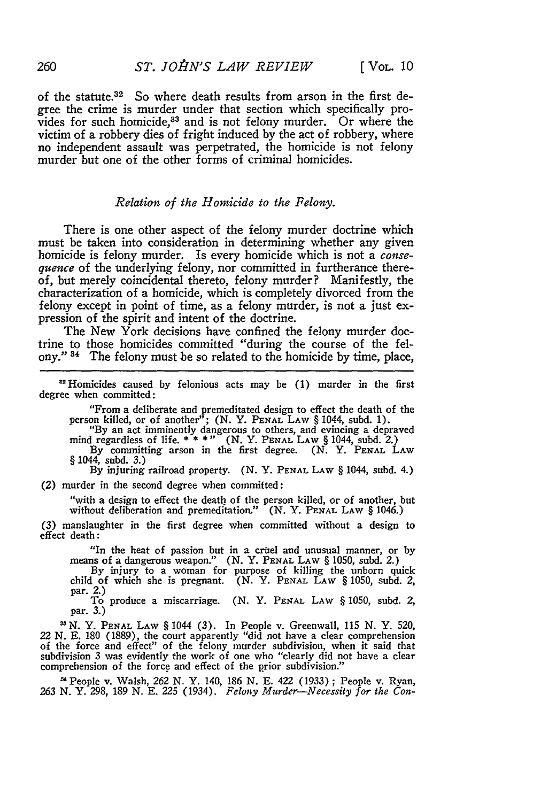of the statute.<sup>32</sup> So where death results from arson in the first degree the crime is murder under that section which specifically provides for such homicide,<sup>83</sup> and is not felony murder. Or where the victim of a robbery dies of fright induced by the act of robbery, where no independent assault was perpetrated, the homicide is not felony murder but one of the other forms of criminal homicides.

## *Relation of the Homicide to the Felony.*

There is one other aspect of the felony murder doctrine which must be taken into consideration in determining whether any given homicide is felony murder. Is every homicide which is not a consequence of the underlying felony, nor committed in furtherance thereof, but merely coincidental thereto, felony murder? Manifestly, the characterization of a homicide, which is completely divorced from the felony except in point of time, as a felony murder, is not a just expression of the spirit and intent of the doctrine.

The New York decisions have confined the felony murder doctrine to those homicides committed "during the course of the felony." 34 The felony must be so related to the homicide **by** time, place,

'Homicides caused **by** felonious acts may be (1) murder in the first degree when committed:

"From a deliberate and premeditated design to effect the death of the person killed, or of another"; (N. Y. **PENAL** LAW § 1044, subd. 1). "By an act imminently dangerous to others, and evincing a depraved

mind regardless of life. **\* \* \*"** (N. Y. **PENAL** LAW § 1044, subd. 2.)

By committing arson in the first degree. (N. Y. **PENAL** LAW § 1044, subd. **3.)**

**By** injuring railroad property. **(N.** Y. **PENAL** LAW § 1044, subd. 4.)

*(2)* murder in the second degree when committed:

"with a design to effect the death of the person killed, or of another, but without deliberation and premeditation." (N. Y. **PENAL** LAW § 1046.)

(3) manslaughter in the first degree when committed without a design to effect death:

"In the heat of passion but in a crel and unusual manner, or **by** means of a dangerous weapon." **(N.** Y. **PENAL** LAW § 1050, subd. 2.) By injury to a woman for purpose of killing the unborn quick

child of which she is pregnant. **(N.** Y. **PENAL LAW** § 1050, subd. 2, par. *2.)*

To produce a miscarriage. (N. Y. **PENAL LAW** § **1050,** subd. 2, par. **3.)**

*IN.* Y. **PENAL** LAW § 1044 (3). In People v. Greenwall, 115 **N.** Y. 520, *22 N.* E. 180 (1889), the court apparently "did not have a clear comprehension of the force and effect" of the felony murder subdivision, when it said that subdivision 3 was evidently the work of one who "clearly did not have a clear comprehension of the force and effect of the prior subdivision."

People v. Walsh, **262** N. Y. 140, 186 N. E. 422 (1933) ; People v. Ryan, *<sup>263</sup>N.* Y. 298, 189 N. E. 225 (1934). *Felony Murder-Necessity for the Con-*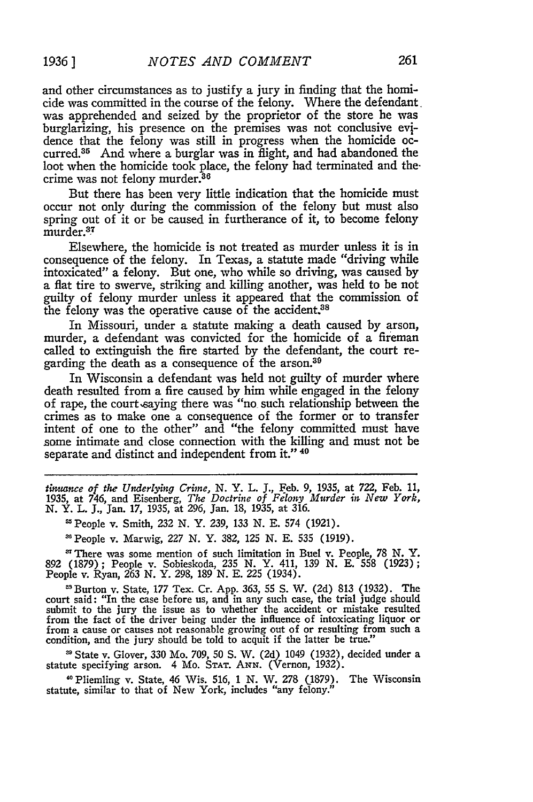and other circumstances as to justify a jury in finding that the homicide was committed in the course of the felony. Where the defendant. was apprehended and seized by the proprietor of the store he was burglarizing, his presence on the premises was not conclusive evidence that the felony was still in progress when the homicide occurred.<sup>35</sup> And where a burglar was in flight, and had abandoned the loot when the homicide took place, the felony had terminated and the. crime was not felony murder.<sup>36</sup>

But there has been very little indication that the homicide must occur not only during the commission of the felony but must also spring out of it or be caused in furtherance of it, to become felony murder.37

Elsewhere, the homicide is not treated as murder unless it is in consequence of the felony. In Texas, a statute made "driving while intoxicated" a felony. But one, who while so driving, was caused by a flat tire to swerve, striking and killing another, was held to be not guilty of felony murder unless it appeared that the commission of the felony was the operative cause of the accident.<sup>38</sup>

In Missouri, under a statute making a death caused by arson, murder, a defendant was convicted for the homicide of a fireman called to extinguish the fire started by the defendant, the court regarding the death as a consequence of the arson.<sup>39</sup>

In Wisconsin a defendant was held not guilty of murder where death resulted from a fire caused by him while engaged in the felony of rape, the court saying there was "no such relationship between the crimes as to make one a consequence of the former or to transfer intent of one to the other" and "the felony committed must have some intimate and close connection with the killing and must not be separate and distinct and independent from it." 40

*tinmance of the Uidterlying Crime,* **N.** Y. L. **J.,** Feb. **9,** 1935, at 722, Feb. **11,** 1935, at 746, and Eisenberg, *The Doctrine of Felony Murder in New York,* **N.** Y. L. **J.,** Jan. 17, 1935, at 296, Jan. 18, 1935, at 316.

People v. Smith, 232 N. Y. 239, 133 N. E. 574 (1921).

'People v. Marwig, 227 N. Y. 382, 125 N. E. 535 (1919).

There was some mention of such limitation in Buel v. People, 78 *N.* Y. 892 (1879); People v. Sobieskoda, 235 N. Y. 411, 139 N. E. **558** (1923); People v. Ryan, 263 N. Y. 298, 189 N. E. 225 (1934).

'Burton v. State, 177 Tex. Cr. App. **363,** 55 **S.** W. (2d) 813 (1932). The court said: "In the case before us, and in any such case, the trial judge should submit to the jury the issue as to whether the accident or mistake resulted from the fact of the driver being under the influence of intoxicating liquor or from a cause or causes not reasonable growing out of or resulting from such a condition, and the jury should be told to acquit if the latter b

**'** State v. Glover, 330 Mo. 709, 50 **S.** W. (2d) 1049 (1932), decided under a statute specifying arson. 4 Mo. **STAT. ANN.** (Vernon, 1932).

**1** Pliemling v. State, 46 Wis. 516, 1 N. W. 278 (1879). The Wisconsin statute, similar to that of New York, includes "any felony."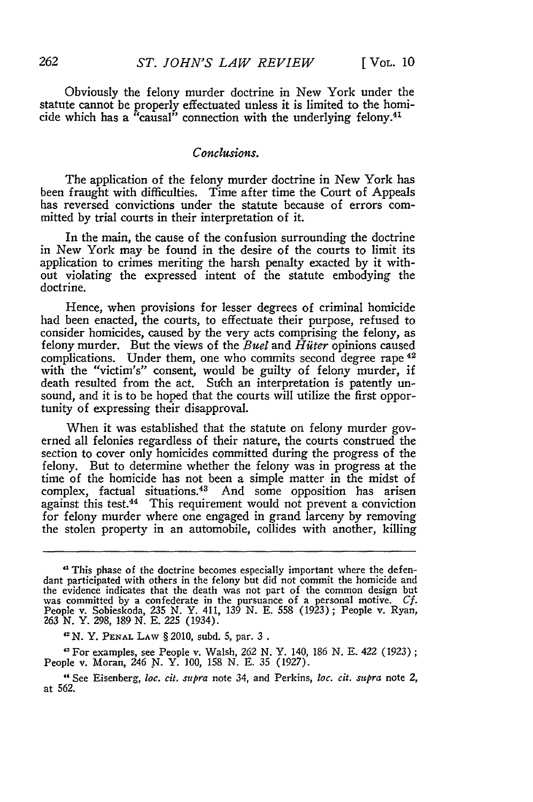Obviously the felony murder doctrine in New York under the statute cannot be properly effectuated unless it is limited to the homicide which has a "causal" connection with the underlying felony.<sup>41</sup>

#### *Conclusions.*

The application of the felony murder doctrine in New York has been fraught with difficulties. Time after time the Court of Appeals has reversed convictions under the statute because of errors committed **by** trial courts in their interpretation of it.

In the main, the cause of the confusion surrounding the doctrine in New York may be found in the desire of the courts to limit its application to crimes meriting the harsh penalty exacted by it without violating the expressed intent of the statute embodying the doctrine.

Hence, when provisions for lesser degrees of criminal homicide had been enacted, the courts, to effectuate their purpose, refused to consider homicides, caused **by** the very acts comprising the felony, as felony murder. But the views of the *Buel* and *Hiiter* opinions caused complications. Under them, one who commits second degree rape <sup>42</sup> with the "victim's" consent, would be guilty of felony murder, if death resulted from the act. Such an interpretation is patently unsound, and it is to be hoped that the courts will utilize the first opportunity of expressing their disapproval.

When it was established that the statute on felony murder governed all felonies regardless of their nature, the courts construed the section to cover only homicides committed during the progress of the felony. But to determine whether the felony was in progress at the time of the homicide has not been a simple matter in the midst of complex, factual situations.<sup>43</sup> And some opposition has arisen against this test.<sup>44</sup> This requirement would not prevent a conviction for felony murder where one engaged in grand larceny **by** removing the stolen property in an automobile, collides with another, killing

*IN.* Y. **PENAL** LAW § 2010, subd. **5,** par. 3 **.**

"For examples, see People v. Walsh, 262 N. Y. 140, 186 **N. E.** 422 (1923); People v. Moran, 246 **N.** Y. 100, 158 N. E. **35** (1927).

"See Eisenberg, loc. *cit. supra* note 34, and Perkins, loc. *cit. stepra* note 2, at 562.

<sup>&</sup>quot; This phase of the doctrine becomes especially important where the defendant participated with others in the felony but did not commit the homicide and the evidence indicates that the death was not part of the common design but was committed **by** a confederate in the pursuance of a personal motive. *Cf.* People v. Sobieskoda, 235 *N.* Y. 411, 139 *N.* E. 558 (1923) ; People v. Ryan, 263 **N.** Y. 298, 189 N. E. 225 (1934).